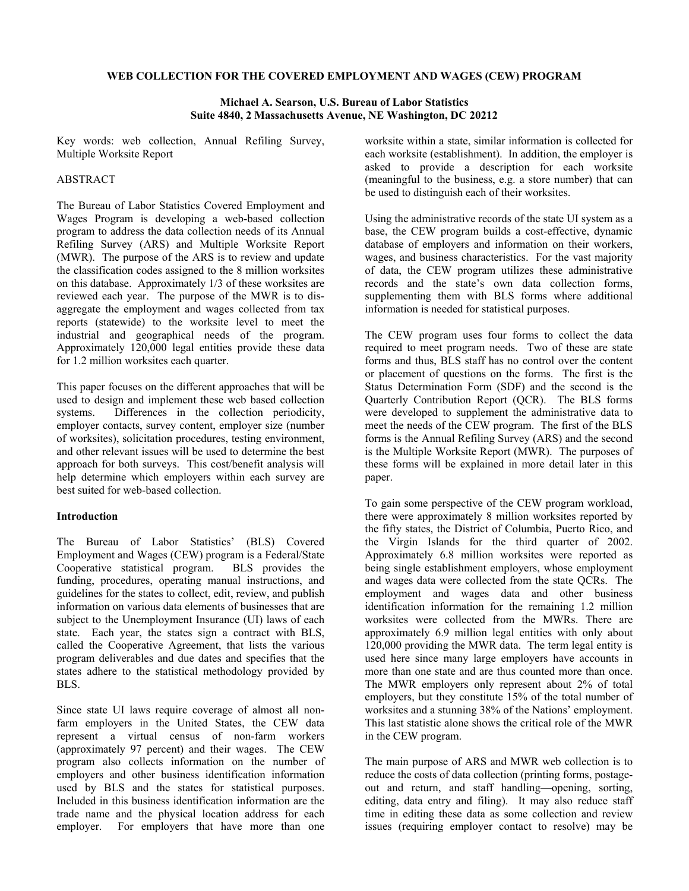#### **WEB COLLECTION FOR THE COVERED EMPLOYMENT AND WAGES (CEW) PROGRAM**

### **Michael A. Searson, U.S. Bureau of Labor Statistics Suite 4840, 2 Massachusetts Avenue, NE Washington, DC 20212**

Key words: web collection, Annual Refiling Survey, Multiple Worksite Report

## ABSTRACT

The Bureau of Labor Statistics Covered Employment and Wages Program is developing a web-based collection program to address the data collection needs of its Annual Refiling Survey (ARS) and Multiple Worksite Report (MWR). The purpose of the ARS is to review and update the classification codes assigned to the 8 million worksites on this database. Approximately 1/3 of these worksites are reviewed each year. The purpose of the MWR is to disaggregate the employment and wages collected from tax reports (statewide) to the worksite level to meet the industrial and geographical needs of the program. Approximately 120,000 legal entities provide these data for 1.2 million worksites each quarter.

This paper focuses on the different approaches that will be used to design and implement these web based collection systems. Differences in the collection periodicity, employer contacts, survey content, employer size (number of worksites), solicitation procedures, testing environment, and other relevant issues will be used to determine the best approach for both surveys. This cost/benefit analysis will help determine which employers within each survey are best suited for web-based collection.

### **Introduction**

The Bureau of Labor Statistics' (BLS) Covered Employment and Wages (CEW) program is a Federal/State Cooperative statistical program. BLS provides the funding, procedures, operating manual instructions, and guidelines for the states to collect, edit, review, and publish information on various data elements of businesses that are subject to the Unemployment Insurance (UI) laws of each state. Each year, the states sign a contract with BLS, called the Cooperative Agreement, that lists the various program deliverables and due dates and specifies that the states adhere to the statistical methodology provided by BLS.

Since state UI laws require coverage of almost all nonfarm employers in the United States, the CEW data represent a virtual census of non-farm workers (approximately 97 percent) and their wages. The CEW program also collects information on the number of employers and other business identification information used by BLS and the states for statistical purposes. Included in this business identification information are the trade name and the physical location address for each employer. For employers that have more than one

worksite within a state, similar information is collected for each worksite (establishment). In addition, the employer is asked to provide a description for each worksite (meaningful to the business, e.g. a store number) that can be used to distinguish each of their worksites.

Using the administrative records of the state UI system as a base, the CEW program builds a cost-effective, dynamic database of employers and information on their workers, wages, and business characteristics. For the vast majority of data, the CEW program utilizes these administrative records and the state's own data collection forms, supplementing them with BLS forms where additional information is needed for statistical purposes.

The CEW program uses four forms to collect the data required to meet program needs. Two of these are state forms and thus, BLS staff has no control over the content or placement of questions on the forms. The first is the Status Determination Form (SDF) and the second is the Quarterly Contribution Report (QCR). The BLS forms were developed to supplement the administrative data to meet the needs of the CEW program. The first of the BLS forms is the Annual Refiling Survey (ARS) and the second is the Multiple Worksite Report (MWR). The purposes of these forms will be explained in more detail later in this paper.

To gain some perspective of the CEW program workload, there were approximately 8 million worksites reported by the fifty states, the District of Columbia, Puerto Rico, and the Virgin Islands for the third quarter of 2002. Approximately 6.8 million worksites were reported as being single establishment employers, whose employment and wages data were collected from the state QCRs. The employment and wages data and other business identification information for the remaining 1.2 million worksites were collected from the MWRs. There are approximately 6.9 million legal entities with only about 120,000 providing the MWR data. The term legal entity is used here since many large employers have accounts in more than one state and are thus counted more than once. The MWR employers only represent about 2% of total employers, but they constitute 15% of the total number of worksites and a stunning 38% of the Nations' employment. This last statistic alone shows the critical role of the MWR in the CEW program.

The main purpose of ARS and MWR web collection is to reduce the costs of data collection (printing forms, postageout and return, and staff handling—opening, sorting, editing, data entry and filing). It may also reduce staff time in editing these data as some collection and review issues (requiring employer contact to resolve) may be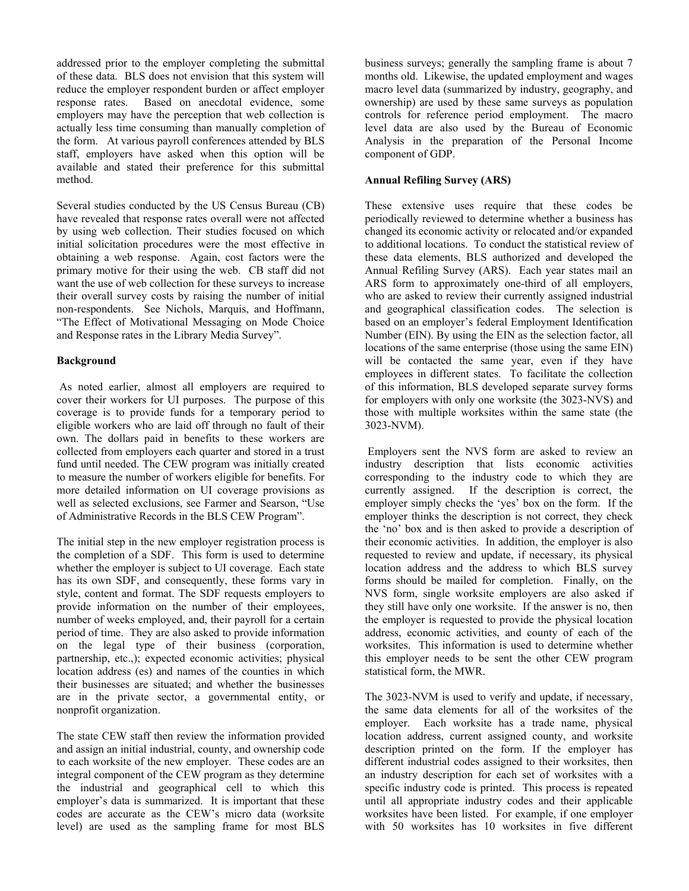addressed prior to the employer completing the submittal of these data. BLS does not envision that this system will reduce the employer respondent burden or affect employer response rates. Based on anecdotal evidence, some employers may have the perception that web collection is actually less time consuming than manually completion of the form. At various payroll conferences attended by BLS staff, employers have asked when this option will be available and stated their preference for this submittal method.

Several studies conducted by the US Census Bureau (CB) have revealed that response rates overall were not affected by using web collection. Their studies focused on which initial solicitation procedures were the most effective in obtaining a web response. Again, cost factors were the primary motive for their using the web. CB staff did not want the use of web collection for these surveys to increase their overall survey costs by raising the number of initial non-respondents. See Nichols, Marquis, and Hoffmann, "The Effect of Motivational Messaging on Mode Choice and Response rates in the Library Media Survey".

# **Background**

 As noted earlier, almost all employers are required to cover their workers for UI purposes. The purpose of this coverage is to provide funds for a temporary period to eligible workers who are laid off through no fault of their own. The dollars paid in benefits to these workers are collected from employers each quarter and stored in a trust fund until needed. The CEW program was initially created to measure the number of workers eligible for benefits. For more detailed information on UI coverage provisions as well as selected exclusions, see Farmer and Searson, "Use of Administrative Records in the BLS CEW Program".

The initial step in the new employer registration process is the completion of a SDF. This form is used to determine whether the employer is subject to UI coverage. Each state has its own SDF, and consequently, these forms vary in style, content and format. The SDF requests employers to provide information on the number of their employees, number of weeks employed, and, their payroll for a certain period of time. They are also asked to provide information on the legal type of their business (corporation, partnership, etc.,); expected economic activities; physical location address (es) and names of the counties in which their businesses are situated; and whether the businesses are in the private sector, a governmental entity, or nonprofit organization.

The state CEW staff then review the information provided and assign an initial industrial, county, and ownership code to each worksite of the new employer. These codes are an integral component of the CEW program as they determine the industrial and geographical cell to which this employer's data is summarized. It is important that these codes are accurate as the CEW's micro data (worksite level) are used as the sampling frame for most BLS

business surveys; generally the sampling frame is about 7 months old. Likewise, the updated employment and wages macro level data (summarized by industry, geography, and ownership) are used by these same surveys as population controls for reference period employment. The macro level data are also used by the Bureau of Economic Analysis in the preparation of the Personal Income component of GDP.

### **Annual Refiling Survey (ARS)**

These extensive uses require that these codes be periodically reviewed to determine whether a business has changed its economic activity or relocated and/or expanded to additional locations. To conduct the statistical review of these data elements, BLS authorized and developed the Annual Refiling Survey (ARS). Each year states mail an ARS form to approximately one-third of all employers, who are asked to review their currently assigned industrial and geographical classification codes. The selection is based on an employer's federal Employment Identification Number (EIN). By using the EIN as the selection factor, all locations of the same enterprise (those using the same EIN) will be contacted the same year, even if they have employees in different states. To facilitate the collection of this information, BLS developed separate survey forms for employers with only one worksite (the 3023-NVS) and those with multiple worksites within the same state (the 3023-NVM).

 Employers sent the NVS form are asked to review an industry description that lists economic activities corresponding to the industry code to which they are currently assigned. If the description is correct, the employer simply checks the 'yes' box on the form. If the employer thinks the description is not correct, they check the 'no' box and is then asked to provide a description of their economic activities. In addition, the employer is also requested to review and update, if necessary, its physical location address and the address to which BLS survey forms should be mailed for completion. Finally, on the NVS form, single worksite employers are also asked if they still have only one worksite. If the answer is no, then the employer is requested to provide the physical location address, economic activities, and county of each of the worksites. This information is used to determine whether this employer needs to be sent the other CEW program statistical form, the MWR.

The 3023-NVM is used to verify and update, if necessary, the same data elements for all of the worksites of the employer. Each worksite has a trade name, physical location address, current assigned county, and worksite description printed on the form. If the employer has different industrial codes assigned to their worksites, then an industry description for each set of worksites with a specific industry code is printed. This process is repeated until all appropriate industry codes and their applicable worksites have been listed. For example, if one employer with 50 worksites has 10 worksites in five different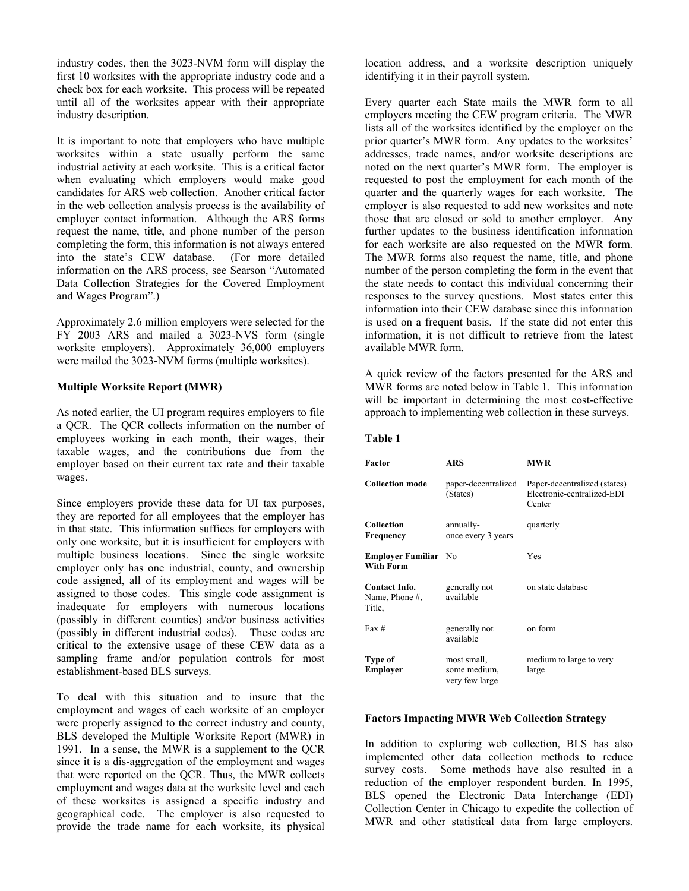industry codes, then the 3023-NVM form will display the first 10 worksites with the appropriate industry code and a check box for each worksite. This process will be repeated until all of the worksites appear with their appropriate industry description.

It is important to note that employers who have multiple worksites within a state usually perform the same industrial activity at each worksite. This is a critical factor when evaluating which employers would make good candidates for ARS web collection. Another critical factor in the web collection analysis process is the availability of employer contact information. Although the ARS forms request the name, title, and phone number of the person completing the form, this information is not always entered into the state's CEW database. (For more detailed information on the ARS process, see Searson "Automated Data Collection Strategies for the Covered Employment and Wages Program".)

Approximately 2.6 million employers were selected for the FY 2003 ARS and mailed a 3023-NVS form (single worksite employers). Approximately 36,000 employers were mailed the 3023-NVM forms (multiple worksites).

## **Multiple Worksite Report (MWR)**

As noted earlier, the UI program requires employers to file a QCR. The QCR collects information on the number of employees working in each month, their wages, their taxable wages, and the contributions due from the employer based on their current tax rate and their taxable wages.

Since employers provide these data for UI tax purposes, they are reported for all employees that the employer has in that state. This information suffices for employers with only one worksite, but it is insufficient for employers with multiple business locations. Since the single worksite employer only has one industrial, county, and ownership code assigned, all of its employment and wages will be assigned to those codes. This single code assignment is inadequate for employers with numerous locations (possibly in different counties) and/or business activities (possibly in different industrial codes). These codes are critical to the extensive usage of these CEW data as a sampling frame and/or population controls for most establishment-based BLS surveys.

To deal with this situation and to insure that the employment and wages of each worksite of an employer were properly assigned to the correct industry and county, BLS developed the Multiple Worksite Report (MWR) in 1991. In a sense, the MWR is a supplement to the QCR since it is a dis-aggregation of the employment and wages that were reported on the QCR. Thus, the MWR collects employment and wages data at the worksite level and each of these worksites is assigned a specific industry and geographical code. The employer is also requested to provide the trade name for each worksite, its physical location address, and a worksite description uniquely identifying it in their payroll system.

Every quarter each State mails the MWR form to all employers meeting the CEW program criteria. The MWR lists all of the worksites identified by the employer on the prior quarter's MWR form. Any updates to the worksites' addresses, trade names, and/or worksite descriptions are noted on the next quarter's MWR form. The employer is requested to post the employment for each month of the quarter and the quarterly wages for each worksite. The employer is also requested to add new worksites and note those that are closed or sold to another employer. Any further updates to the business identification information for each worksite are also requested on the MWR form. The MWR forms also request the name, title, and phone number of the person completing the form in the event that the state needs to contact this individual concerning their responses to the survey questions. Most states enter this information into their CEW database since this information is used on a frequent basis. If the state did not enter this information, it is not difficult to retrieve from the latest available MWR form.

A quick review of the factors presented for the ARS and MWR forms are noted below in Table 1. This information will be important in determining the most cost-effective approach to implementing web collection in these surveys.

#### **Table 1**

| <b>Factor</b>                                    | <b>ARS</b>                                    | <b>MWR</b>                                                           |
|--------------------------------------------------|-----------------------------------------------|----------------------------------------------------------------------|
| <b>Collection mode</b>                           | paper-decentralized<br>(States)               | Paper-decentralized (states)<br>Electronic-centralized-EDI<br>Center |
| <b>Collection</b><br><b>Frequency</b>            | annually-<br>once every 3 years               | quarterly                                                            |
| <b>Employer Familiar</b> No<br><b>With Form</b>  |                                               | Yes                                                                  |
| <b>Contact Info.</b><br>Name, Phone #,<br>Title, | generally not<br>available                    | on state database                                                    |
| $Fax \#$                                         | generally not<br>available                    | on form                                                              |
| Type of<br>Employer                              | most small,<br>some medium,<br>very few large | medium to large to very<br>large                                     |

### **Factors Impacting MWR Web Collection Strategy**

In addition to exploring web collection, BLS has also implemented other data collection methods to reduce survey costs. Some methods have also resulted in a reduction of the employer respondent burden. In 1995, BLS opened the Electronic Data Interchange (EDI) Collection Center in Chicago to expedite the collection of MWR and other statistical data from large employers.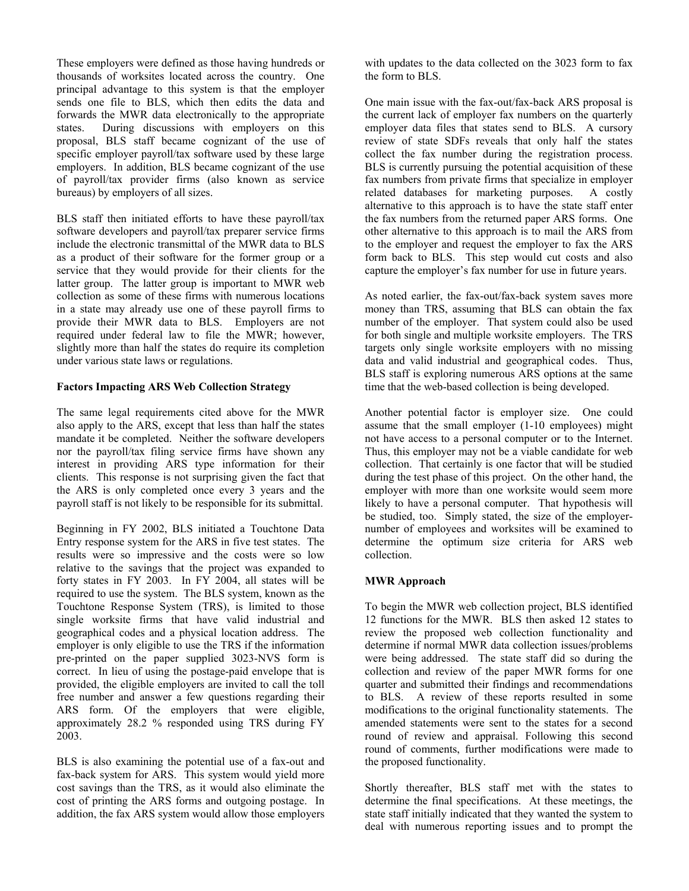These employers were defined as those having hundreds or thousands of worksites located across the country. One principal advantage to this system is that the employer sends one file to BLS, which then edits the data and forwards the MWR data electronically to the appropriate states. During discussions with employers on this proposal, BLS staff became cognizant of the use of specific employer payroll/tax software used by these large employers. In addition, BLS became cognizant of the use of payroll/tax provider firms (also known as service bureaus) by employers of all sizes.

BLS staff then initiated efforts to have these payroll/tax software developers and payroll/tax preparer service firms include the electronic transmittal of the MWR data to BLS as a product of their software for the former group or a service that they would provide for their clients for the latter group. The latter group is important to MWR web collection as some of these firms with numerous locations in a state may already use one of these payroll firms to provide their MWR data to BLS. Employers are not required under federal law to file the MWR; however, slightly more than half the states do require its completion under various state laws or regulations.

# **Factors Impacting ARS Web Collection Strategy**

The same legal requirements cited above for the MWR also apply to the ARS, except that less than half the states mandate it be completed. Neither the software developers nor the payroll/tax filing service firms have shown any interest in providing ARS type information for their clients. This response is not surprising given the fact that the ARS is only completed once every 3 years and the payroll staff is not likely to be responsible for its submittal.

Beginning in FY 2002, BLS initiated a Touchtone Data Entry response system for the ARS in five test states. The results were so impressive and the costs were so low relative to the savings that the project was expanded to forty states in FY 2003. In FY 2004, all states will be required to use the system. The BLS system, known as the Touchtone Response System (TRS), is limited to those single worksite firms that have valid industrial and geographical codes and a physical location address. The employer is only eligible to use the TRS if the information pre-printed on the paper supplied 3023-NVS form is correct. In lieu of using the postage-paid envelope that is provided, the eligible employers are invited to call the toll free number and answer a few questions regarding their ARS form. Of the employers that were eligible, approximately 28.2 % responded using TRS during FY 2003.

BLS is also examining the potential use of a fax-out and fax-back system for ARS. This system would yield more cost savings than the TRS, as it would also eliminate the cost of printing the ARS forms and outgoing postage. In addition, the fax ARS system would allow those employers

with updates to the data collected on the 3023 form to fax the form to BLS.

One main issue with the fax-out/fax-back ARS proposal is the current lack of employer fax numbers on the quarterly employer data files that states send to BLS. A cursory review of state SDFs reveals that only half the states collect the fax number during the registration process. BLS is currently pursuing the potential acquisition of these fax numbers from private firms that specialize in employer related databases for marketing purposes. A costly alternative to this approach is to have the state staff enter the fax numbers from the returned paper ARS forms. One other alternative to this approach is to mail the ARS from to the employer and request the employer to fax the ARS form back to BLS. This step would cut costs and also capture the employer's fax number for use in future years.

As noted earlier, the fax-out/fax-back system saves more money than TRS, assuming that BLS can obtain the fax number of the employer. That system could also be used for both single and multiple worksite employers. The TRS targets only single worksite employers with no missing data and valid industrial and geographical codes. Thus, BLS staff is exploring numerous ARS options at the same time that the web-based collection is being developed.

Another potential factor is employer size. One could assume that the small employer (1-10 employees) might not have access to a personal computer or to the Internet. Thus, this employer may not be a viable candidate for web collection. That certainly is one factor that will be studied during the test phase of this project. On the other hand, the employer with more than one worksite would seem more likely to have a personal computer. That hypothesis will be studied, too. Simply stated, the size of the employernumber of employees and worksites will be examined to determine the optimum size criteria for ARS web collection.

# **MWR Approach**

To begin the MWR web collection project, BLS identified 12 functions for the MWR. BLS then asked 12 states to review the proposed web collection functionality and determine if normal MWR data collection issues/problems were being addressed. The state staff did so during the collection and review of the paper MWR forms for one quarter and submitted their findings and recommendations to BLS. A review of these reports resulted in some modifications to the original functionality statements. The amended statements were sent to the states for a second round of review and appraisal. Following this second round of comments, further modifications were made to the proposed functionality.

Shortly thereafter, BLS staff met with the states to determine the final specifications. At these meetings, the state staff initially indicated that they wanted the system to deal with numerous reporting issues and to prompt the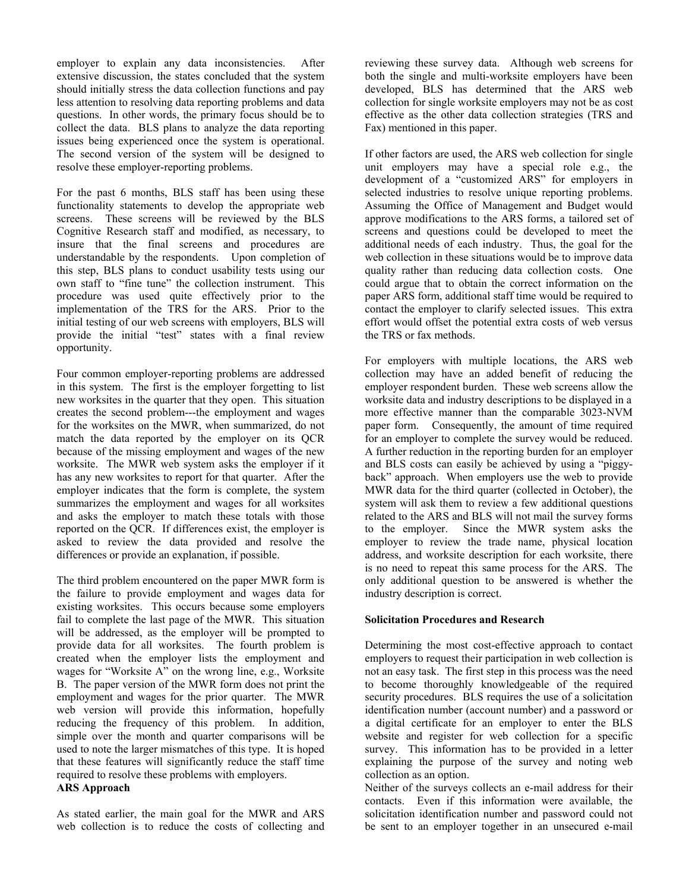employer to explain any data inconsistencies. After extensive discussion, the states concluded that the system should initially stress the data collection functions and pay less attention to resolving data reporting problems and data questions. In other words, the primary focus should be to collect the data. BLS plans to analyze the data reporting issues being experienced once the system is operational. The second version of the system will be designed to resolve these employer-reporting problems.

For the past 6 months, BLS staff has been using these functionality statements to develop the appropriate web screens. These screens will be reviewed by the BLS Cognitive Research staff and modified, as necessary, to insure that the final screens and procedures are understandable by the respondents. Upon completion of this step, BLS plans to conduct usability tests using our own staff to "fine tune" the collection instrument. This procedure was used quite effectively prior to the implementation of the TRS for the ARS. Prior to the initial testing of our web screens with employers, BLS will provide the initial "test" states with a final review opportunity.

Four common employer-reporting problems are addressed in this system. The first is the employer forgetting to list new worksites in the quarter that they open. This situation creates the second problem---the employment and wages for the worksites on the MWR, when summarized, do not match the data reported by the employer on its QCR because of the missing employment and wages of the new worksite. The MWR web system asks the employer if it has any new worksites to report for that quarter. After the employer indicates that the form is complete, the system summarizes the employment and wages for all worksites and asks the employer to match these totals with those reported on the QCR. If differences exist, the employer is asked to review the data provided and resolve the differences or provide an explanation, if possible.

The third problem encountered on the paper MWR form is the failure to provide employment and wages data for existing worksites. This occurs because some employers fail to complete the last page of the MWR. This situation will be addressed, as the employer will be prompted to provide data for all worksites. The fourth problem is created when the employer lists the employment and wages for "Worksite A" on the wrong line, e.g., Worksite B. The paper version of the MWR form does not print the employment and wages for the prior quarter. The MWR web version will provide this information, hopefully reducing the frequency of this problem. In addition, simple over the month and quarter comparisons will be used to note the larger mismatches of this type. It is hoped that these features will significantly reduce the staff time required to resolve these problems with employers. **ARS Approach** 

As stated earlier, the main goal for the MWR and ARS web collection is to reduce the costs of collecting and reviewing these survey data. Although web screens for both the single and multi-worksite employers have been developed, BLS has determined that the ARS web collection for single worksite employers may not be as cost effective as the other data collection strategies (TRS and Fax) mentioned in this paper.

If other factors are used, the ARS web collection for single unit employers may have a special role e.g., the development of a "customized ARS" for employers in selected industries to resolve unique reporting problems. Assuming the Office of Management and Budget would approve modifications to the ARS forms, a tailored set of screens and questions could be developed to meet the additional needs of each industry. Thus, the goal for the web collection in these situations would be to improve data quality rather than reducing data collection costs. One could argue that to obtain the correct information on the paper ARS form, additional staff time would be required to contact the employer to clarify selected issues. This extra effort would offset the potential extra costs of web versus the TRS or fax methods.

For employers with multiple locations, the ARS web collection may have an added benefit of reducing the employer respondent burden. These web screens allow the worksite data and industry descriptions to be displayed in a more effective manner than the comparable 3023-NVM paper form. Consequently, the amount of time required for an employer to complete the survey would be reduced. A further reduction in the reporting burden for an employer and BLS costs can easily be achieved by using a "piggyback" approach. When employers use the web to provide MWR data for the third quarter (collected in October), the system will ask them to review a few additional questions related to the ARS and BLS will not mail the survey forms to the employer. Since the MWR system asks the employer to review the trade name, physical location address, and worksite description for each worksite, there is no need to repeat this same process for the ARS. The only additional question to be answered is whether the industry description is correct.

# **Solicitation Procedures and Research**

Determining the most cost-effective approach to contact employers to request their participation in web collection is not an easy task. The first step in this process was the need to become thoroughly knowledgeable of the required security procedures. BLS requires the use of a solicitation identification number (account number) and a password or a digital certificate for an employer to enter the BLS website and register for web collection for a specific survey. This information has to be provided in a letter explaining the purpose of the survey and noting web collection as an option.

Neither of the surveys collects an e-mail address for their contacts. Even if this information were available, the solicitation identification number and password could not be sent to an employer together in an unsecured e-mail